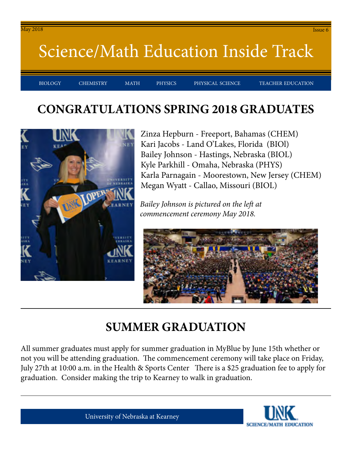#### May 2018 Issue 6

### Science/Math Education Inside Track

BIOLOGY CHEMISTRY MATH PHYSICS PHYSICAL-SCIENCE TEACHER-EDUCATION

#### **CONGRATULATIONS SPRING 2018 GRADUATES**



Zinza Hepburn - Freeport, Bahamas (CHEM) Kari Jacobs - Land O'Lakes, Florida (BIOl) Bailey Johnson - Hastings, Nebraska (BIOL) Kyle Parkhill - Omaha, Nebraska (PHYS) Karla Parnagain - Moorestown, New Jersey (CHEM) Megan Wyatt - Callao, Missouri (BIOL)

*Bailey Johnson is pictured on the left at commencement ceremony May 2018.*



#### **SUMMER GRADUATION**

All summer graduates must apply for summer graduation in MyBlue by June 15th whether or not you will be attending graduation. The commencement ceremony will take place on Friday, July 27th at 10:00 a.m. in the Health & Sports Center There is a \$25 graduation fee to apply for graduation. Consider making the trip to Kearney to walk in graduation.

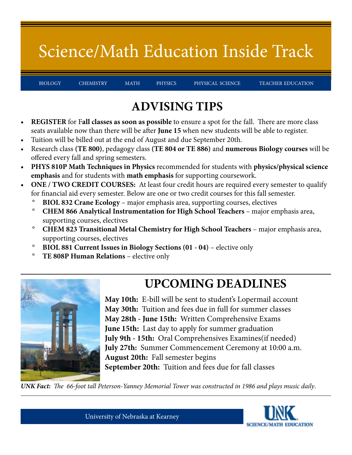# Science/Math Education Inside Track

BIOLOGY CHEMISTRY MATH PHYSICS PHYSICAL-SCIENCE TEACHER-EDUCATION

### **ADVISING TIPS**

- **• REGISTER** for F**all classes as soon as possible** to ensure a spot for the fall. There are more class seats available now than there will be after **June 15** when new students will be able to register.
- Tuition will be billed out at the end of August and due September 20th.
- Research class **(TE 800)**, pedagogy class **(TE 804 or TE 886)** and **numerous Biology courses** will be offered every fall and spring semesters.
- **• PHYS 810P Math Techniques in Physics** recommended for students with **physics/physical science emphasis** and for students with **math emphasis** for supporting coursework.
- **• ONE / TWO CREDIT COURSES:** At least four credit hours are required every semester to qualify for financial aid every semester. Below are one or two credit courses for this fall semester.
	- ° **BIOL 832 Crane Ecology**  major emphasis area, supporting courses, electives
	- <sup>o</sup> CHEM 866 Analytical Instrumentation for High School Teachers major emphasis area, supporting courses, electives
	- ° **CHEM 823 Transitional Metal Chemistry for High School Teachers** major emphasis area, supporting courses, electives
	- ° **BIOL 881 Current Issues in Biology Sections (01 04)** elective only
	- ° **TE 808P Human Relations** elective only



**May 10th:** E-bill will be sent to student's Lopermail account **May 30th:** Tuition and fees due in full for summer classes **May 28th - June 15th:** Written Comprehensive Exams **June 15th:** Last day to apply for summer graduation **July 9th - 15th:** Oral Comprehensives Examines(if needed) **July 27th:** Summer Commencement Ceremony at 10:00 a.m. **August 20th:** Fall semester begins **September 20th:** Tuition and fees due for fall classes

**UPCOMING DEADLINES**

*UNK Fact: The 66-foot tall Peterson-Yanney Memorial Tower was constructed in 1986 and plays music daily*.

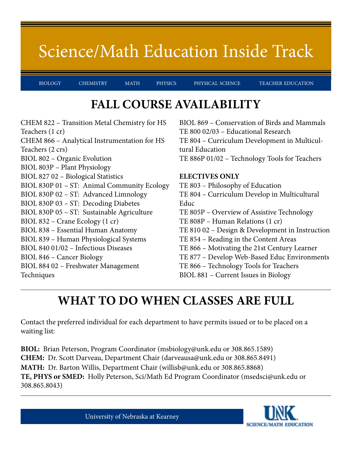### Science/Math Education Inside Track

BIOLOGY CHEMISTRY MATH PHYSICS PHYSICAL-SCIENCE TEACHER-EDUCATION

#### **FALL COURSE AVAILABILITY**

CHEM 822 – Transition Metal Chemistry for HS Teachers (1 cr) CHEM 866 – Analytical Instrumentation for HS Teachers (2 crs) BIOL 802 – Organic Evolution BIOL 803P – Plant Physiology BIOL 827 02 – Biological Statistics BIOL 830P 01 – ST: Animal Community Ecology BIOL 830P 02 – ST: Advanced Limnology BIOL 830P 03 – ST: Decoding Diabetes BIOL 830P 05 – ST: Sustainable Agriculture BIOL 832 – Crane Ecology (1 cr) BIOL 838 – Essential Human Anatomy BIOL 839 – Human Physiological Systems BIOL 840 01/02 – Infectious Diseases BIOL 846 – Cancer Biology BIOL 884 02 – Freshwater Management Techniques

BIOL 869 – Conservation of Birds and Mammals TE 800 02/03 – Educational Research TE 804 – Curriculum Development in Multicultural Education TE 886P 01/02 – Technology Tools for Teachers

#### **ELECTIVES ONLY**

TE 803 – Philosophy of Education TE 804 – Curriculum Develop in Multicultural Educ TE 805P – Overview of Assistive Technology TE 808P – Human Relations (1 cr) TE 810 02 – Design & Development in Instruction TE 854 – Reading in the Content Areas TE 866 – Motivating the 21st Century Learner TE 877 – Develop Web-Based Educ Environments TE 866 – Technology Tools for Teachers BIOL 881 – Current Issues in Biology

### **WHAT TO DO WHEN CLASSES ARE FULL**

Contact the preferred individual for each department to have permits issued or to be placed on a waiting list:

**BIOL:** Brian Peterson, Program Coordinator (msbiology@unk.edu or 308.865.1589) **CHEM:** Dr. Scott Darveau, Department Chair (darveausa@unk.edu or 308.865.8491) **MATH:** Dr. Barton Willis, Department Chair (willisb@unk.edu or 308.865.8868) **TE, PHYS or SMED:** Holly Peterson, Sci/Math Ed Program Coordinator (msedsci@unk.edu or 308.865.8043)